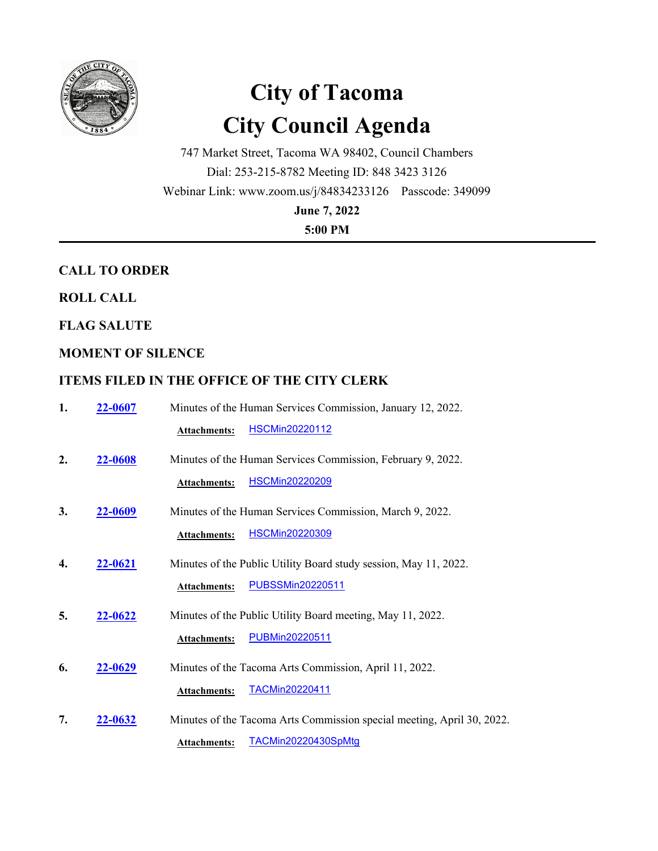

# **City of Tacoma City Council Agenda**

747 Market Street, Tacoma WA 98402, Council Chambers Dial: 253-215-8782 Meeting ID: 848 3423 3126 Webinar Link: www.zoom.us/j/84834233126 Passcode: 349099

**June 7, 2022**

**5:00 PM**

# **CALL TO ORDER**

# **ROLL CALL**

**FLAG SALUTE**

# **MOMENT OF SILENCE**

# **ITEMS FILED IN THE OFFICE OF THE CITY CLERK**

| 1.               | 22-0607 | Minutes of the Human Services Commission, January 12, 2022.                                                                          |
|------------------|---------|--------------------------------------------------------------------------------------------------------------------------------------|
|                  |         | <b>HSCMin20220112</b><br><b>Attachments:</b>                                                                                         |
| $\overline{2}$ . | 22-0608 | Minutes of the Human Services Commission, February 9, 2022.<br><b>HSCMin20220209</b><br><b>Attachments:</b>                          |
| 3.               | 22-0609 | Minutes of the Human Services Commission, March 9, 2022.<br><b>HSCMin20220309</b><br><b>Attachments:</b>                             |
| 4.               | 22-0621 | Minutes of the Public Utility Board study session, May 11, 2022.<br><b>PUBSSMin20220511</b><br><b>Attachments:</b>                   |
| 5.               | 22-0622 | Minutes of the Public Utility Board meeting, May 11, 2022.<br>PUBMin20220511<br><b>Attachments:</b>                                  |
| 6.               | 22-0629 | Minutes of the Tacoma Arts Commission, April 11, 2022.<br><b>TACMin20220411</b>                                                      |
| 7.               | 22-0632 | Attachments:<br>Minutes of the Tacoma Arts Commission special meeting, April 30, 2022.<br>TACMin20220430SpMtg<br><b>Attachments:</b> |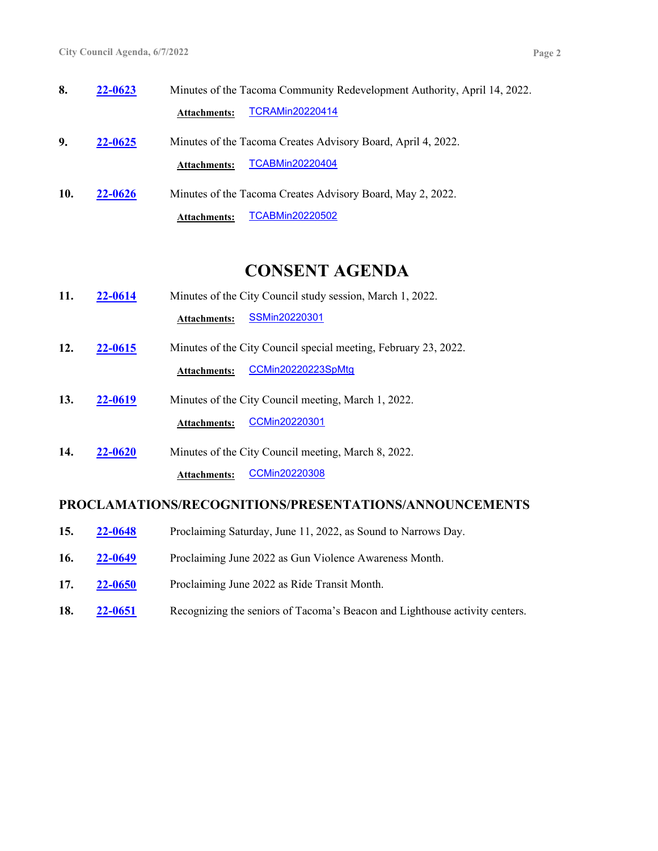**8. 22-0623** Minutes of the Tacoma Community Redevelopment Authority, April 14, 2022. **Attachments:** [TCRAMin20220414](http://cityoftacoma.legistar.com/gateway.aspx?M=F&ID=c7810e86-dba5-45f8-b552-8d8feceabbc2.pdf) **9. 22-0625** Minutes of the Tacoma Creates Advisory Board, April 4, 2022.

**Attachments:** [TCABMin20220404](http://cityoftacoma.legistar.com/gateway.aspx?M=F&ID=ce3614cc-2a0d-4763-8d81-2e068719a1f2.pdf)

**10. 22-0626** Minutes of the Tacoma Creates Advisory Board, May 2, 2022. **Attachments:** [TCABMin20220502](http://cityoftacoma.legistar.com/gateway.aspx?M=F&ID=5f02b039-a1ac-454f-983a-28ec6a6b4dee.pdf)

# **CONSENT AGENDA**

- **11. 22-0614** Minutes of the City Council study session, March 1, 2022. **Attachments:** [SSMin20220301](http://cityoftacoma.legistar.com/gateway.aspx?M=F&ID=73646806-7f9c-4f0f-8a94-0bad2bc77f50.pdf)
- **12. 22-0615** Minutes of the City Council special meeting, February 23, 2022. Attachments: [CCMin20220223SpMtg](http://cityoftacoma.legistar.com/gateway.aspx?M=F&ID=41285604-d581-45a4-b049-63e3008b823c.pdf)
- **13. 22-0619** Minutes of the City Council meeting, March 1, 2022. **Attachments:** [CCMin20220301](http://cityoftacoma.legistar.com/gateway.aspx?M=F&ID=49d661c3-81af-45f4-8773-d87e6a30a8b7.pdf)
- **14. 22-0620** Minutes of the City Council meeting, March 8, 2022. Attachments: [CCMin20220308](http://cityoftacoma.legistar.com/gateway.aspx?M=F&ID=1d7029d3-144d-4aab-bd2a-2b6a4032aed8.pdf)

#### **PROCLAMATIONS/RECOGNITIONS/PRESENTATIONS/ANNOUNCEMENTS**

- **15. 22-0648** Proclaiming Saturday, June 11, 2022, as Sound to Narrows Day.
- **16. 22-0649** Proclaiming June 2022 as Gun Violence Awareness Month.
- **17. 22-0650** Proclaiming June 2022 as Ride Transit Month.
- **18. 22-0651** Recognizing the seniors of Tacoma's Beacon and Lighthouse activity centers.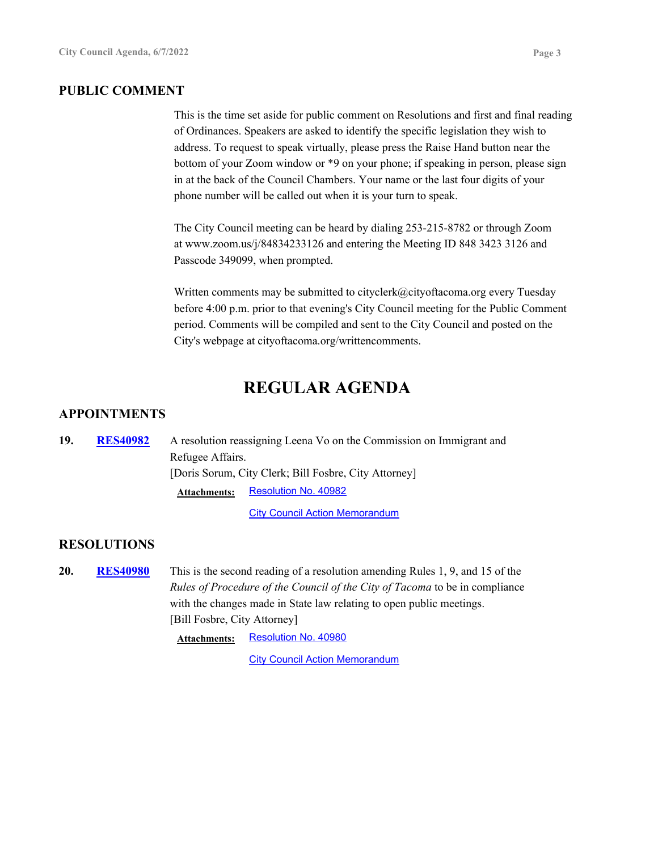#### **PUBLIC COMMENT**

This is the time set aside for public comment on Resolutions and first and final reading of Ordinances. Speakers are asked to identify the specific legislation they wish to address. To request to speak virtually, please press the Raise Hand button near the bottom of your Zoom window or \*9 on your phone; if speaking in person, please sign in at the back of the Council Chambers. Your name or the last four digits of your phone number will be called out when it is your turn to speak.

The City Council meeting can be heard by dialing 253-215-8782 or through Zoom at www.zoom.us/j/84834233126 and entering the Meeting ID 848 3423 3126 and Passcode 349099, when prompted.

Written comments may be submitted to cityclerk@cityoftacoma.org every Tuesday before 4:00 p.m. prior to that evening's City Council meeting for the Public Comment period. Comments will be compiled and sent to the City Council and posted on the City's webpage at cityoftacoma.org/writtencomments.

# **REGULAR AGENDA**

#### **APPOINTMENTS**

19. RES40982 A resolution reassigning Leena Vo on the Commission on Immigrant and Refugee Affairs. [Doris Sorum, City Clerk; Bill Fosbre, City Attorney] **RES40982** Attachments: [Resolution No. 40982](http://cityoftacoma.legistar.com/gateway.aspx?M=F&ID=976f2f3a-6a86-413a-8140-8301f0dff203.pdf)

[City Council Action Memorandum](http://cityoftacoma.legistar.com/gateway.aspx?M=F&ID=4a8ab95b-8ae9-49a8-8062-7642796ac41c.pdf)

#### **RESOLUTIONS**

**20.** RES40980 This is the second reading of a resolution amending Rules 1, 9, and 15 of the *Rules of Procedure of the Council of the City of Tacoma* to be in compliance with the changes made in State law relating to open public meetings. [Bill Fosbre, City Attorney] **RES40980**

**Attachments:** [Resolution No. 40980](http://cityoftacoma.legistar.com/gateway.aspx?M=F&ID=49fc74b0-b3fa-469f-8482-9f99f501e72f.pdf)

**[City Council Action Memorandum](http://cityoftacoma.legistar.com/gateway.aspx?M=F&ID=16dbd3b5-cef2-4be3-8073-2ec3ab5eb57e.pdf)**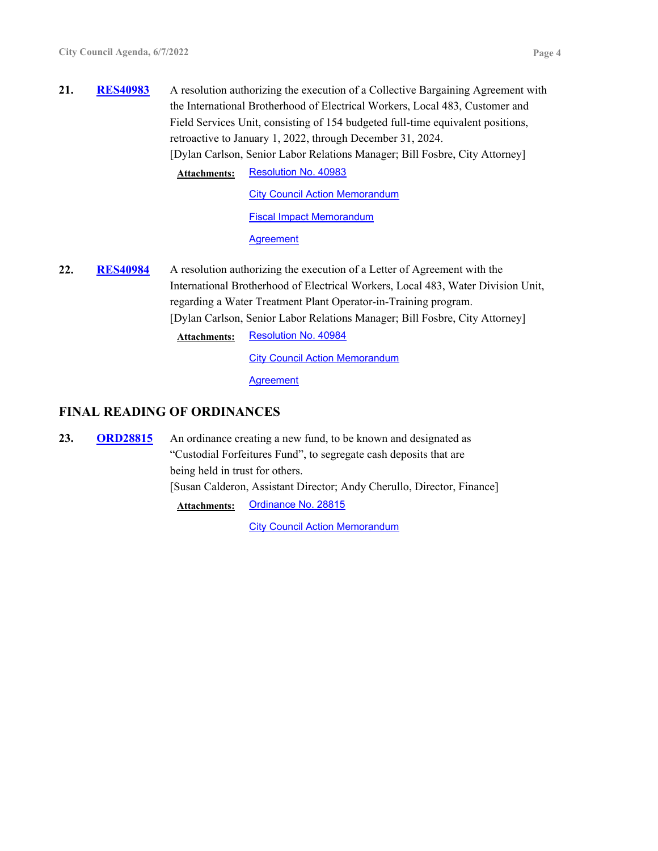**21.** RES40983 A resolution authorizing the execution of a Collective Bargaining Agreement with the International Brotherhood of Electrical Workers, Local 483, Customer and Field Services Unit, consisting of 154 budgeted full-time equivalent positions, retroactive to January 1, 2022, through December 31, 2024. [Dylan Carlson, Senior Labor Relations Manager; Bill Fosbre, City Attorney] **RES40983**

Attachments: [Resolution No. 40983](http://cityoftacoma.legistar.com/gateway.aspx?M=F&ID=0911ebb7-76d2-447f-b0cd-89311f43b95e.pdf)

**[City Council Action Memorandum](http://cityoftacoma.legistar.com/gateway.aspx?M=F&ID=13bb913b-1496-40bf-b12a-8c4b695e0f98.pdf)** [Fiscal Impact Memorandum](http://cityoftacoma.legistar.com/gateway.aspx?M=F&ID=6f55bfca-5458-48b2-961d-93f2999a0f0b.pdf)

**[Agreement](http://cityoftacoma.legistar.com/gateway.aspx?M=F&ID=e6d3df42-a90d-4e43-a4bc-4e38719ee244.pdf)** 

**22.** RES40984 A resolution authorizing the execution of a Letter of Agreement with the International Brotherhood of Electrical Workers, Local 483, Water Division Unit, regarding a Water Treatment Plant Operator-in-Training program. [Dylan Carlson, Senior Labor Relations Manager; Bill Fosbre, City Attorney] **RES40984**

Attachments: [Resolution No. 40984](http://cityoftacoma.legistar.com/gateway.aspx?M=F&ID=c22dd434-2369-40be-a42e-7dbc96a3193f.pdf)

**[City Council Action Memorandum](http://cityoftacoma.legistar.com/gateway.aspx?M=F&ID=178e167d-c2b7-4b93-ab9d-07ba16c37065.pdf)** 

**[Agreement](http://cityoftacoma.legistar.com/gateway.aspx?M=F&ID=e79cbf34-50b3-4ac0-bb01-2464c457d323.pdf)** 

# **FINAL READING OF ORDINANCES**

**23.** ORD28815 An ordinance creating a new fund, to be known and designated as "Custodial Forfeitures Fund", to segregate cash deposits that are being held in trust for others. [Susan Calderon, Assistant Director; Andy Cherullo, Director, Finance] **ORD28815 Attachments:** [Ordinance No. 28815](http://cityoftacoma.legistar.com/gateway.aspx?M=F&ID=1588fe93-9907-4ab0-bf3f-22607749ec2f.pdf)

**[City Council Action Memorandum](http://cityoftacoma.legistar.com/gateway.aspx?M=F&ID=46dc2497-1f3d-4776-94b8-cee6ee956e66.pdf)**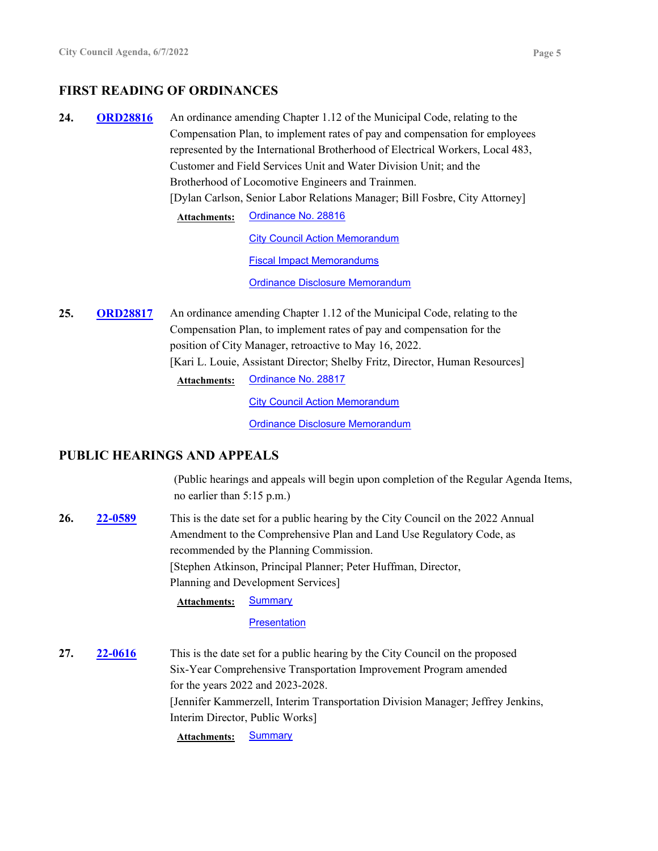# **FIRST READING OF ORDINANCES**

24. ORD28816 An ordinance amending Chapter 1.12 of the Municipal Code, relating to the Compensation Plan, to implement rates of pay and compensation for employees represented by the International Brotherhood of Electrical Workers, Local 483, Customer and Field Services Unit and Water Division Unit; and the Brotherhood of Locomotive Engineers and Trainmen. [Dylan Carlson, Senior Labor Relations Manager; Bill Fosbre, City Attorney] **ORD28816 Attachments:** [Ordinance No. 28816](http://cityoftacoma.legistar.com/gateway.aspx?M=F&ID=5ceb7007-af1e-42f6-9b1d-8e32795a9e09.pdf) **[City Council Action Memorandum](http://cityoftacoma.legistar.com/gateway.aspx?M=F&ID=5fb95f4c-7c32-4a63-b0fa-188ab9232302.pdf)** [Fiscal Impact Memorandums](http://cityoftacoma.legistar.com/gateway.aspx?M=F&ID=5b80daac-abe7-4217-b118-90201df4ebe0.pdf)

[Ordinance Disclosure Memorandum](http://cityoftacoma.legistar.com/gateway.aspx?M=F&ID=fc5d9a11-c25a-49fe-a8e5-b20aff84c6a8.pdf)

25. ORD28817 An ordinance amending Chapter 1.12 of the Municipal Code, relating to the Compensation Plan, to implement rates of pay and compensation for the position of City Manager, retroactive to May 16, 2022. [Kari L. Louie, Assistant Director; Shelby Fritz, Director, Human Resources] **ORD28817 Attachments:** [Ordinance No. 28817](http://cityoftacoma.legistar.com/gateway.aspx?M=F&ID=607a243e-d32a-4461-b259-8022480fda97.pdf)

**[City Council Action Memorandum](http://cityoftacoma.legistar.com/gateway.aspx?M=F&ID=3b5dd31b-70b8-47af-b427-edb2938895e6.pdf)** 

[Ordinance Disclosure Memorandum](http://cityoftacoma.legistar.com/gateway.aspx?M=F&ID=dbea6956-e440-4d18-a47e-d375b011787c.pdf)

### **PUBLIC HEARINGS AND APPEALS**

(Public hearings and appeals will begin upon completion of the Regular Agenda Items, no earlier than 5:15 p.m.)

**26. 22-0589** This is the date set for a public hearing by the City Council on the 2022 Annual Amendment to the Comprehensive Plan and Land Use Regulatory Code, as recommended by the Planning Commission. [Stephen Atkinson, Principal Planner; Peter Huffman, Director, Planning and Development Services] **22-0589 Attachments:** [Summary](http://cityoftacoma.legistar.com/gateway.aspx?M=F&ID=ae0442e0-6b40-434e-a7d8-c4c3bdbb6ff3.pdf)

**[Presentation](http://cityoftacoma.legistar.com/gateway.aspx?M=F&ID=0a11b669-4c72-4f7c-8e14-4106241b63b8.pdf)** 

**27. 22-0616** This is the date set for a public hearing by the City Council on the proposed Six-Year Comprehensive Transportation Improvement Program amended for the years 2022 and 2023-2028. [Jennifer Kammerzell, Interim Transportation Division Manager; Jeffrey Jenkins, Interim Director, Public Works] **22-0616**

Attachments: **[Summary](http://cityoftacoma.legistar.com/gateway.aspx?M=F&ID=a362cc05-86fa-491e-a3a9-513374b042ee.pdf)**